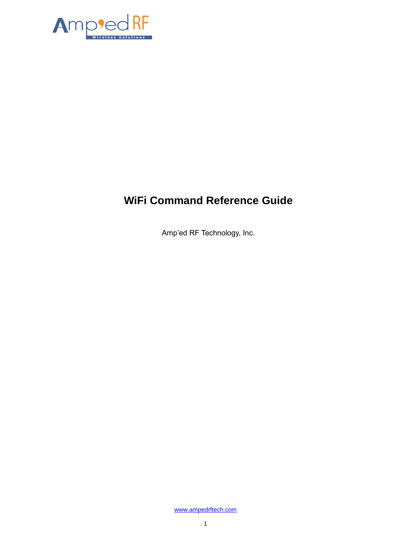

# **WiFi Command Reference Guide**

Amp'ed RF Technology, Inc.

[www.ampedrftech.com](http://www.ampedrftech.com/)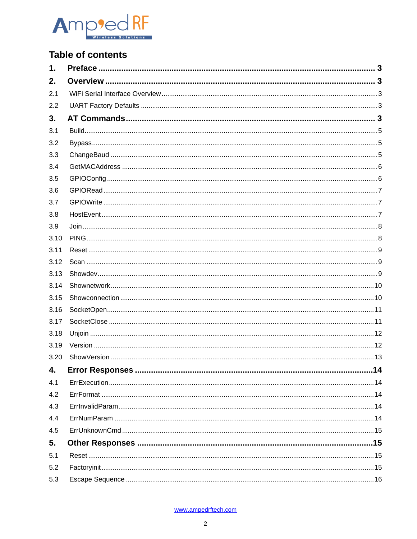

## **Table of contents**

| 1.   |    |
|------|----|
| 2.   |    |
| 2.1  |    |
| 2.2  |    |
| 3.   |    |
| 3.1  |    |
| 3.2  |    |
| 3.3  |    |
| 3.4  |    |
| 3.5  |    |
| 3.6  |    |
| 3.7  |    |
| 3.8  |    |
| 3.9  |    |
| 3.10 |    |
| 3.11 |    |
| 3.12 |    |
| 3.13 |    |
| 3.14 |    |
| 3.15 |    |
| 3.16 |    |
| 3.17 |    |
| 3.18 |    |
| 3.19 |    |
| 3.20 |    |
| 4.   | 14 |
| 4.1  |    |
| 4.2  |    |
| 4.3  |    |
| 4.4  |    |
| 4.5  |    |
| 5.   |    |
| 5.1  |    |
| 5.2  |    |
| 5.3  |    |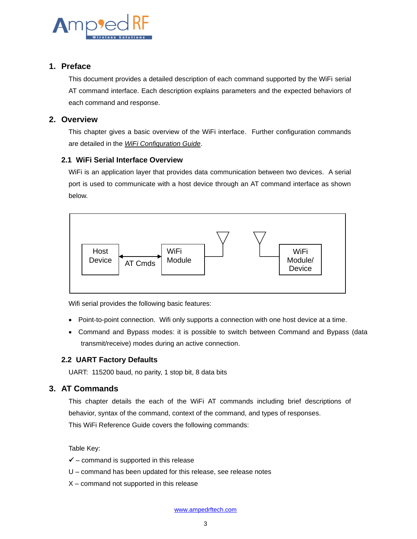

## <span id="page-2-0"></span>**1. Preface**

This document provides a detailed description of each command supported by the WiFi serial AT command interface. Each description explains parameters and the expected behaviors of each command and response.

## <span id="page-2-1"></span>**2. Overview**

This chapter gives a basic overview of the WiFi interface. Further configuration commands are detailed in the *WiFi Configuration Guide*.

## <span id="page-2-2"></span>**2.1 WiFi Serial Interface Overview**

WiFi is an application layer that provides data communication between two devices. A serial port is used to communicate with a host device through an AT command interface as shown below.



Wifi serial provides the following basic features:

- Point-to-point connection. Wifi only supports a connection with one host device at a time.
- Command and Bypass modes: it is possible to switch between Command and Bypass (data transmit/receive) modes during an active connection.

## <span id="page-2-3"></span>**2.2 UART Factory Defaults**

UART: 115200 baud, no parity, 1 stop bit, 8 data bits

## <span id="page-2-4"></span>**3. AT Commands**

This chapter details the each of the WiFi AT commands including brief descriptions of behavior, syntax of the command, context of the command, and types of responses. This WiFi Reference Guide covers the following commands:

Table Key:

- $\checkmark$  command is supported in this release
- U command has been updated for this release, see release notes
- X command not supported in this release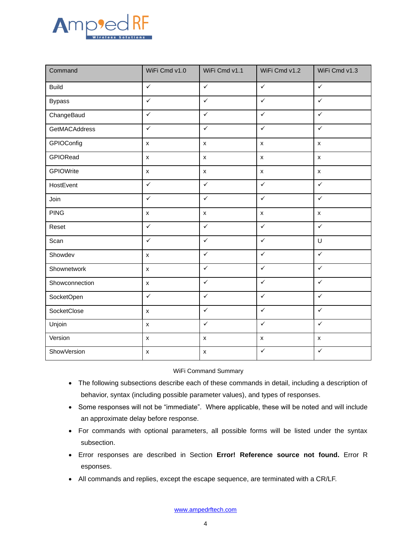

| Command            | WiFi Cmd v1.0      | WiFi Cmd v1.1      | WiFi Cmd v1.2      | WiFi Cmd v1.3      |
|--------------------|--------------------|--------------------|--------------------|--------------------|
| <b>Build</b>       | $\checkmark$       | $\checkmark$       | $\checkmark$       | $\checkmark$       |
| <b>Bypass</b>      | $\checkmark$       | $\checkmark$       | $\checkmark$       | $\checkmark$       |
| ChangeBaud         | $\checkmark$       | $\checkmark$       | $\checkmark$       | $\checkmark$       |
| GetMACAddress      | $\checkmark$       | $\checkmark$       | $\checkmark$       | $\checkmark$       |
| GPIOConfig         | $\pmb{\times}$     | $\pmb{\mathsf{x}}$ | $\pmb{\mathsf{x}}$ | $\pmb{\mathsf{x}}$ |
| GPIORead           | $\pmb{\times}$     | $\pmb{\times}$     | $\pmb{\times}$     | $\pmb{\mathsf{x}}$ |
| GPIOWrite          | $\pmb{\times}$     | $\pmb{\mathsf{X}}$ | $\pmb{\mathsf{x}}$ | $\pmb{\mathsf{x}}$ |
| HostEvent          | $\checkmark$       | $\checkmark$       | $\checkmark$       | $\checkmark$       |
| Join               | $\checkmark$       | $\checkmark$       | $\checkmark$       | $\checkmark$       |
| <b>PING</b>        | $\pmb{\mathsf{x}}$ | $\pmb{\mathsf{x}}$ | $\pmb{\mathsf{x}}$ | $\pmb{\mathsf{x}}$ |
| Reset              | $\checkmark$       | $\checkmark$       | $\checkmark$       | $\checkmark$       |
| Scan               | $\checkmark$       | $\checkmark$       | $\checkmark$       | $\mathsf U$        |
| Showdev            | $\pmb{\mathsf{x}}$ | $\checkmark$       | $\checkmark$       | $\checkmark$       |
| Shownetwork        | $\pmb{\mathsf{x}}$ | $\checkmark$       | $\checkmark$       | $\checkmark$       |
| Showconnection     | $\pmb{\times}$     | $\checkmark$       | $\checkmark$       | $\checkmark$       |
| SocketOpen         | $\checkmark$       | $\checkmark$       | $\checkmark$       | $\checkmark$       |
| SocketClose        | $\pmb{\times}$     | $\checkmark$       | $\checkmark$       | $\checkmark$       |
| Unjoin             | $\pmb{\mathsf{X}}$ | $\checkmark$       | $\checkmark$       | $\checkmark$       |
| Version            | $\pmb{\mathsf{x}}$ | $\pmb{\mathsf{x}}$ | $\pmb{\mathsf{x}}$ | $\pmb{\mathsf{X}}$ |
| <b>ShowVersion</b> | $\pmb{\mathsf{x}}$ | $\pmb{\mathsf{x}}$ | $\checkmark$       | $\checkmark$       |

#### WiFi Command Summary

- The following subsections describe each of these commands in detail, including a description of behavior, syntax (including possible parameter values), and types of responses.
- Some responses will not be "immediate". Where applicable, these will be noted and will include an approximate delay before response.
- For commands with optional parameters, all possible forms will be listed under the syntax subsection.
- Error responses are described in Section **Error! Reference source not found.** [Error R](#page-13-0) [esponses.](#page-13-0)
- All commands and replies, except the escape sequence, are terminated with a CR/LF.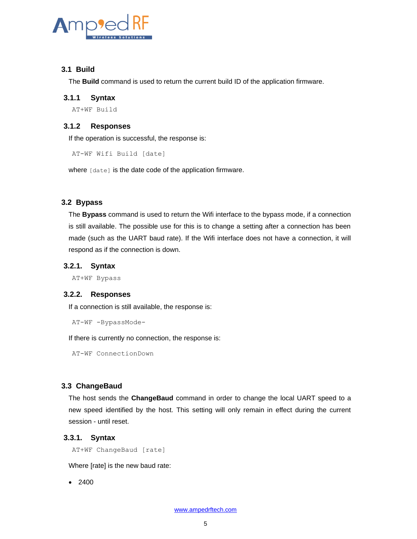

## <span id="page-4-0"></span>**3.1 Build**

The **Build** command is used to return the current build ID of the application firmware.

#### **3.1.1 Syntax**

AT+WF Build

## **3.1.2 Responses**

If the operation is successful, the response is:

AT-WF Wifi Build [date]

where [date] is the date code of the application firmware.

## <span id="page-4-1"></span>**3.2 Bypass**

The **Bypass** command is used to return the Wifi interface to the bypass mode, if a connection is still available. The possible use for this is to change a setting after a connection has been made (such as the UART baud rate). If the Wifi interface does not have a connection, it will respond as if the connection is down.

#### **3.2.1. Syntax**

AT+WF Bypass

#### **3.2.2. Responses**

If a connection is still available, the response is:

```
AT-WF -BypassMode-
```
If there is currently no connection, the response is:

AT-WF ConnectionDown

## <span id="page-4-2"></span>**3.3 ChangeBaud**

The host sends the **ChangeBaud** command in order to change the local UART speed to a new speed identified by the host. This setting will only remain in effect during the current session - until reset.

#### **3.3.1. Syntax**

AT+WF ChangeBaud [rate]

Where [rate] is the new baud rate:

• 2400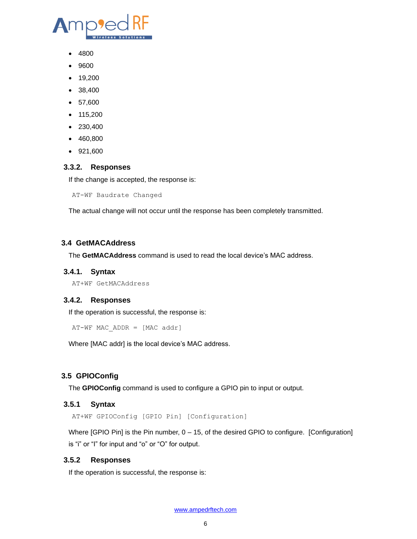

- 4800
- 9600
- 19,200
- 38,400
- 57,600
- 115,200
- 230,400
- 460,800
- 921,600

#### **3.3.2. Responses**

If the change is accepted, the response is:

AT-WF Baudrate Changed

The actual change will not occur until the response has been completely transmitted.

## <span id="page-5-0"></span>**3.4 GetMACAddress**

The **GetMACAddress** command is used to read the local device's MAC address.

#### **3.4.1. Syntax**

AT+WF GetMACAddress

## **3.4.2. Responses**

If the operation is successful, the response is:

 $AT-WF$  MAC ADDR = [MAC addr]

Where [MAC addr] is the local device's MAC address.

## <span id="page-5-1"></span>**3.5 GPIOConfig**

The **GPIOConfig** command is used to configure a GPIO pin to input or output.

#### **3.5.1 Syntax**

AT+WF GPIOConfig [GPIO Pin] [Configuration]

Where [GPIO Pin] is the Pin number, 0 – 15, of the desired GPIO to configure. [Configuration] is "i" or "I" for input and "o" or "O" for output.

#### **3.5.2 Responses**

If the operation is successful, the response is: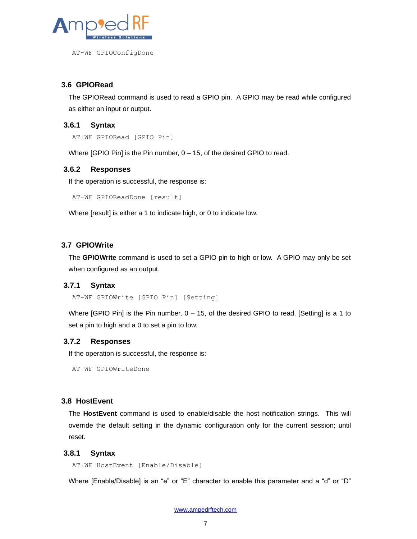

AT-WF GPIOConfigDone

## <span id="page-6-0"></span>**3.6 GPIORead**

The GPIORead command is used to read a GPIO pin. A GPIO may be read while configured as either an input or output.

## **3.6.1 Syntax**

AT+WF GPIORead [GPIO Pin]

Where [GPIO Pin] is the Pin number, 0 – 15, of the desired GPIO to read.

#### **3.6.2 Responses**

If the operation is successful, the response is:

AT-WF GPIOReadDone [result]

Where [result] is either a 1 to indicate high, or 0 to indicate low.

## <span id="page-6-1"></span>**3.7 GPIOWrite**

The **GPIOWrite** command is used to set a GPIO pin to high or low. A GPIO may only be set when configured as an output.

#### **3.7.1 Syntax**

AT+WF GPIOWrite [GPIO Pin] [Setting]

Where  $[GPIO Pin]$  is the Pin number,  $0 - 15$ , of the desired GPIO to read.  $[Setting]$  is a 1 to set a pin to high and a 0 to set a pin to low.

#### **3.7.2 Responses**

If the operation is successful, the response is:

AT-WF GPIOWriteDone

## <span id="page-6-2"></span>**3.8 HostEvent**

The **HostEvent** command is used to enable/disable the host notification strings. This will override the default setting in the dynamic configuration only for the current session; until reset.

#### **3.8.1 Syntax**

AT+WF HostEvent [Enable/Disable]

Where [Enable/Disable] is an "e" or "E" character to enable this parameter and a "d" or "D"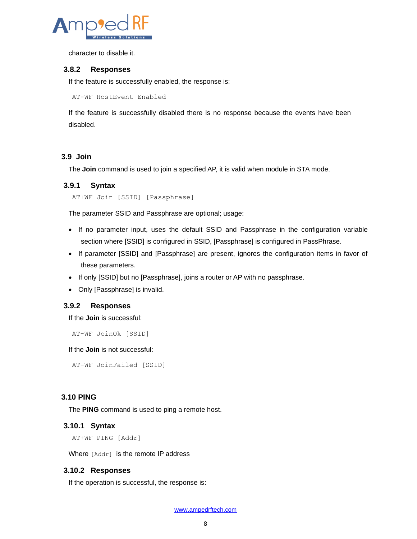

character to disable it.

#### **3.8.2 Responses**

If the feature is successfully enabled, the response is:

AT-WF HostEvent Enabled

If the feature is successfully disabled there is no response because the events have been disabled.

#### <span id="page-7-0"></span>**3.9 Join**

The **Join** command is used to join a specified AP, it is valid when module in STA mode.

#### **3.9.1 Syntax**

```
AT+WF Join [SSID] [Passphrase]
```
The parameter SSID and Passphrase are optional; usage:

- If no parameter input, uses the default SSID and Passphrase in the configuration variable section where [SSID] is configured in SSID, [Passphrase] is configured in PassPhrase.
- If parameter [SSID] and [Passphrase] are present, ignores the configuration items in favor of these parameters.
- If only [SSID] but no [Passphrase], joins a router or AP with no passphrase.
- Only [Passphrase] is invalid.

#### **3.9.2 Responses**

If the **Join** is successful:

```
AT-WF JoinOk [SSID]
```
If the **Join** is not successful:

AT-WF JoinFailed [SSID]

#### <span id="page-7-1"></span>**3.10 PING**

The **PING** command is used to ping a remote host.

#### **3.10.1 Syntax**

```
AT+WF PING [Addr]
```
Where [Addr] is the remote IP address

#### **3.10.2 Responses**

If the operation is successful, the response is: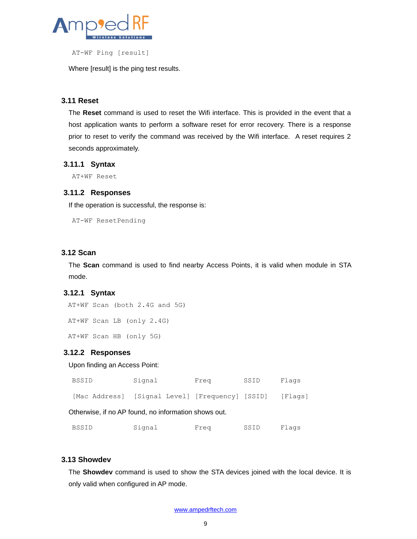

AT-WF Ping [result]

Where [result] is the ping test results.

#### <span id="page-8-0"></span>**3.11 Reset**

The **Reset** command is used to reset the Wifi interface. This is provided in the event that a host application wants to perform a software reset for error recovery. There is a response prior to reset to verify the command was received by the Wifi interface. A reset requires 2 seconds approximately.

#### **3.11.1 Syntax**

AT+WF Reset

#### **3.11.2 Responses**

If the operation is successful, the response is:

AT-WF ResetPending

#### <span id="page-8-1"></span>**3.12 Scan**

The **Scan** command is used to find nearby Access Points, it is valid when module in STA mode.

## **3.12.1 Syntax**

AT+WF Scan (both 2.4G and 5G)

AT+WF Scan LB (only 2.4G)

AT+WF Scan HB (only 5G)

#### **3.12.2 Responses**

#### Upon finding an Access Point:

| BSSID | Signal                                          | Freq | SSID | Flags   |
|-------|-------------------------------------------------|------|------|---------|
|       | [Mac Address] [Signal Level] [Frequency] [SSID] |      |      | [Flaqs] |

Otherwise, if no AP found, no information shows out.

| <b>BSSID</b> | Signal | Frea | SSID | Flaqs |
|--------------|--------|------|------|-------|
|--------------|--------|------|------|-------|

#### <span id="page-8-2"></span>**3.13 Showdev**

The **Showdev** command is used to show the STA devices joined with the local device. It is only valid when configured in AP mode.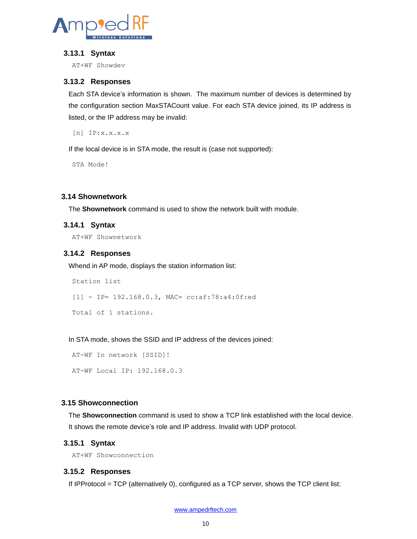

#### **3.13.1 Syntax**

AT+WF Showdev

#### **3.13.2 Responses**

Each STA device's information is shown. The maximum number of devices is determined by the configuration section MaxSTACount value. For each STA device joined, its IP address is listed, or the IP address may be invalid:

[n] IP:x.x.x.x

If the local device is in STA mode, the result is (case not supported):

STA Mode!

#### <span id="page-9-0"></span>**3.14 Shownetwork**

The **Shownetwork** command is used to show the network built with module.

#### **3.14.1 Syntax**

AT+WF Shownetwork

#### **3.14.2 Responses**

Whend in AP mode, displays the station information list:

Station list [1] - IP= 192.168.0.3, MAC= cc:af:78:a4:0f:ed Total of 1 stations.

In STA mode, shows the SSID and IP address of the devices joined:

AT-WF In network [SSID]! AT-WF Local IP: 192.168.0.3

#### <span id="page-9-1"></span>**3.15 Showconnection**

The **Showconnection** command is used to show a TCP link established with the local device. It shows the remote device's role and IP address. Invalid with UDP protocol.

#### **3.15.1 Syntax**

AT+WF Showconnection

#### **3.15.2 Responses**

If IPProtocol = TCP (alternatively 0), configured as a TCP server, shows the TCP client list: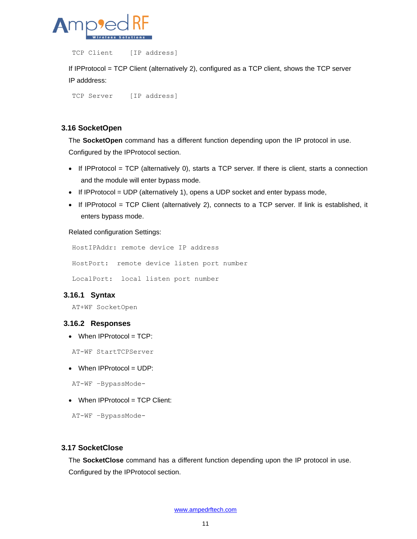

TCP Client [IP address]

If IPProtocol = TCP Client (alternatively 2), configured as a TCP client, shows the TCP server IP adddress:

TCP Server [IP address]

## <span id="page-10-0"></span>**3.16 SocketOpen**

The **SocketOpen** command has a different function depending upon the IP protocol in use. Configured by the IPProtocol section.

- $\bullet$  If IPProtocol = TCP (alternatively 0), starts a TCP server. If there is client, starts a connection and the module will enter bypass mode.
- If IPProtocol = UDP (alternatively 1), opens a UDP socket and enter bypass mode,
- If IPProtocol = TCP Client (alternatively 2), connects to a TCP server. If link is established, it enters bypass mode.

#### Related configuration Settings:

```
HostIPAddr: remote device IP address
HostPort: remote device listen port number
LocalPort: local listen port number
```
## **3.16.1 Syntax**

AT+WF SocketOpen

#### **3.16.2 Responses**

 $\bullet$  When IPProtocol = TCP:

AT-WF StartTCPServer

 $\bullet$  When IPProtocol = UDP:

AT-WF –BypassMode-

• When IPProtocol = TCP Client:

AT-WF –BypassMode-

#### <span id="page-10-1"></span>**3.17 SocketClose**

The **SocketClose** command has a different function depending upon the IP protocol in use. Configured by the IPProtocol section.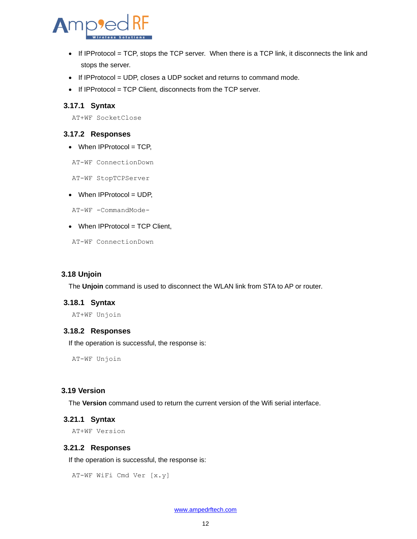

- $\bullet$  If IPProtocol = TCP, stops the TCP server. When there is a TCP link, it disconnects the link and stops the server.
- If IPProtocol = UDP, closes a UDP socket and returns to command mode.
- If IPProtocol = TCP Client, disconnects from the TCP server.

#### **3.17.1 Syntax**

AT+WF SocketClose

#### **3.17.2 Responses**

 $\bullet$  When IPProtocol = TCP,

AT-WF ConnectionDown

AT-WF StopTCPServer

• When IPProtocol = UDP,

AT-WF -CommandMode-

 $\bullet$  When IPProtocol = TCP Client,

AT-WF ConnectionDown

#### <span id="page-11-0"></span>**3.18 Unjoin**

The **Unjoin** command is used to disconnect the WLAN link from STA to AP or router.

#### **3.18.1 Syntax**

AT+WF Unjoin

#### **3.18.2 Responses**

If the operation is successful, the response is:

AT-WF Unjoin

## <span id="page-11-1"></span>**3.19 Version**

The **Version** command used to return the current version of the Wifi serial interface.

## **3.21.1 Syntax**

AT+WF Version

#### **3.21.2 Responses**

If the operation is successful, the response is:

```
AT-WF WiFi Cmd Ver [x.y]
```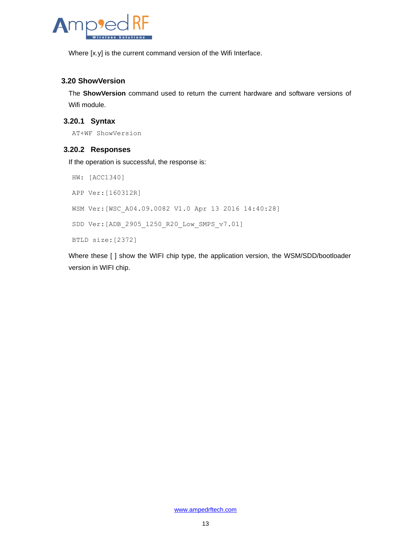

Where [x.y] is the current command version of the Wifi Interface.

## <span id="page-12-0"></span>**3.20 ShowVersion**

The **ShowVersion** command used to return the current hardware and software versions of Wifi module.

## **3.20.1 Syntax**

AT+WF ShowVersion

## **3.20.2 Responses**

If the operation is successful, the response is:

HW: [ACC1340] APP Ver:[160312R] WSM Ver:[WSC\_A04.09.0082 V1.0 Apr 13 2016 14:40:28] SDD Ver:[ADB\_2905\_1250\_R20\_Low\_SMPS\_v7.01] BTLD size:[2372]

Where these [ ] show the WIFI chip type, the application version, the WSM/SDD/bootloader version in WIFI chip.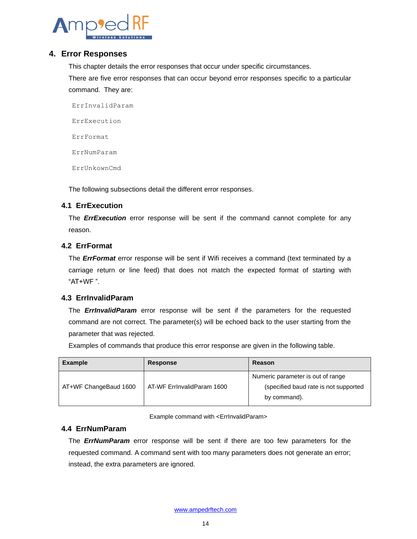

## <span id="page-13-0"></span>**4. Error Responses**

This chapter details the error responses that occur under specific circumstances.

There are five error responses that can occur beyond error responses specific to a particular command. They are:

ErrInvalidParam ErrExecution ErrFormat ErrNumParam ErrUnkownCmd

The following subsections detail the different error responses.

## <span id="page-13-1"></span>**4.1 ErrExecution**

The *ErrExecution* error response will be sent if the command cannot complete for any reason.

## <span id="page-13-2"></span>**4.2 ErrFormat**

The *ErrFormat* error response will be sent if Wifi receives a command (text terminated by a carriage return or line feed) that does not match the expected format of starting with "AT+WF ".

## <span id="page-13-3"></span>**4.3 ErrInvalidParam**

The *ErrInvalidParam* error response will be sent if the parameters for the requested command are not correct. The parameter(s) will be echoed back to the user starting from the parameter that was rejected.

Examples of commands that produce this error response are given in the following table.

| <b>Example</b>        | <b>Response</b>            | Reason                                                                                     |
|-----------------------|----------------------------|--------------------------------------------------------------------------------------------|
| AT+WF ChangeBaud 1600 | AT-WF ErrinvalidParam 1600 | Numeric parameter is out of range<br>(specified baud rate is not supported<br>by command). |

Example command with <ErrInvalidParam>

#### <span id="page-13-4"></span>**4.4 ErrNumParam**

The *ErrNumParam* error response will be sent if there are too few parameters for the requested command. A command sent with too many parameters does not generate an error; instead, the extra parameters are ignored.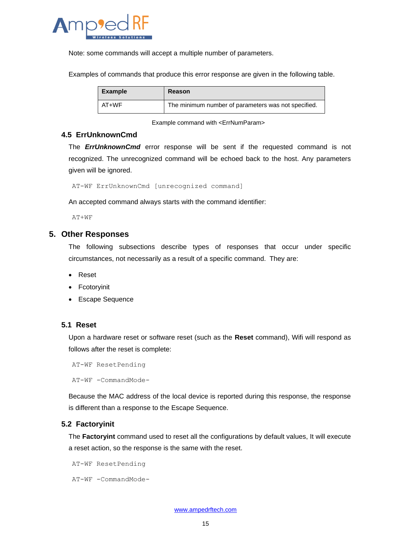

Note: some commands will accept a multiple number of parameters.

Examples of commands that produce this error response are given in the following table.

| <b>Example</b> | Reason                                              |
|----------------|-----------------------------------------------------|
| AT+WF          | The minimum number of parameters was not specified. |

Example command with <ErrNumParam>

#### <span id="page-14-0"></span>**4.5 ErrUnknownCmd**

٦

The *ErrUnknownCmd* error response will be sent if the requested command is not recognized. The unrecognized command will be echoed back to the host. Any parameters given will be ignored.

AT-WF ErrUnknownCmd [unrecognized command]

An accepted command always starts with the command identifier:

AT+WF

#### <span id="page-14-1"></span>**5. Other Responses**

The following subsections describe types of responses that occur under specific circumstances, not necessarily as a result of a specific command. They are:

- Reset
- Fcotoryinit
- Escape Sequence

#### <span id="page-14-2"></span>**5.1 Reset**

Upon a hardware reset or software reset (such as the **Reset** command), Wifi will respond as follows after the reset is complete:

AT-WF ResetPending

AT-WF -CommandMode-

Because the MAC address of the local device is reported during this response, the response is different than a response to the Escape Sequence.

#### <span id="page-14-3"></span>**5.2 Factoryinit**

The **Factoryint** command used to reset all the configurations by default values, It will execute a reset action, so the response is the same with the reset.

AT-WF ResetPending

AT-WF -CommandMode-